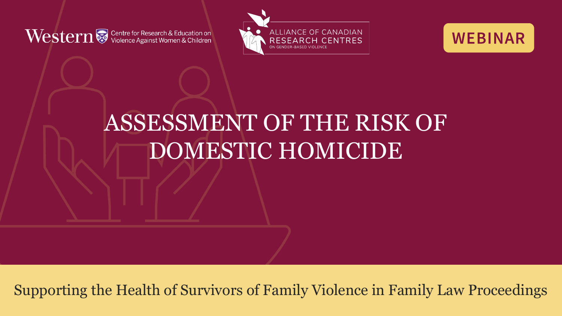Vestern & Centre for Research & Education on





### ASSESSMENT OF THE RISK OF DOMESTIC HOMICIDE

Supporting the Health of Survivors of Family Violence in Family Law Proceedings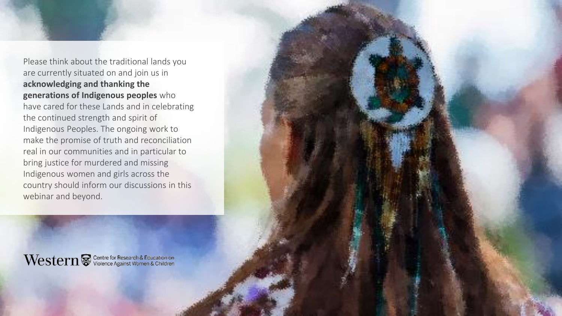Please think about the traditional lands you are currently situated on and join us in **acknowledging and thanking the generations of Indigenous peoples** who have cared for these Lands and in celebrating the continued strength and spirit of Indigenous Peoples. The ongoing work to make the promise of truth and reconciliation real in our communities and in particular to bring justice for murdered and missing Indigenous women and girls across the country should inform our discussions in this webinar and beyond.

Western Western & Centre for Research & Education on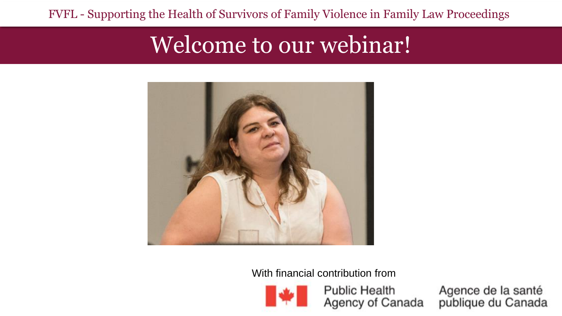FVFL - Supporting the Health of Survivors of Family Violence in Family Law Proceedings

### Welcome to our webinar!



With financial contribution from



**Public Health** Agency of Canada Agence de la santé<br>publique du Canada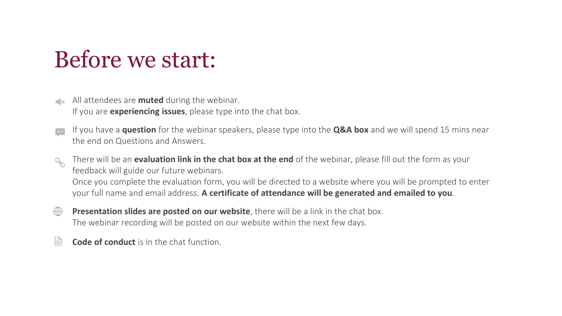### Before we start:

- $\mathbb{R}$  All attendees are **muted** during the webinar. If you are **experiencing issues**, please type into the chat box.
- If you have a **question** for the webinar speakers, please type into the **Q&A box** and we will spend 15 mins near  $\ddot{\bullet}$ the end on Questions and Answers.
- There will be an **evaluation link in the chat box at the end** of the webinar, please fill out the form as your  $\mathcal{O}^{\prime}$ feedback will guide our future webinars. Once you complete the evaluation form, you will be directed to a website where you will be prompted to enter your full name and email address. **A certificate of attendance will be generated and emailed to you**.
- **Presentation slides are posted on our website**, there will be a link in the chat box.  $\bigoplus$ The webinar recording will be posted on our website within the next few days.
- 旨 **Code of conduct** is in the chat function.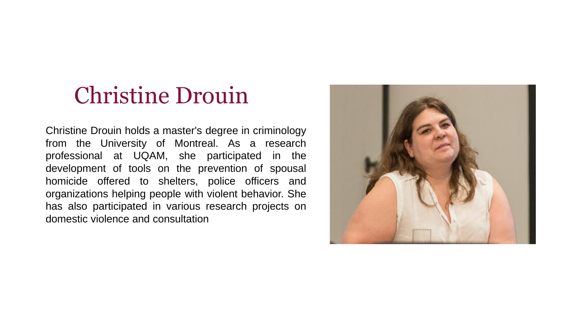### Christine Drouin

Christine Drouin holds a master's degree in criminology from the University of Montreal. As a research professional at UQAM, she participated in the development of tools on the prevention of spousal homicide offered to shelters, police officers and organizations helping people with violent behavior. She has also participated in various research projects on domestic violence and consultation

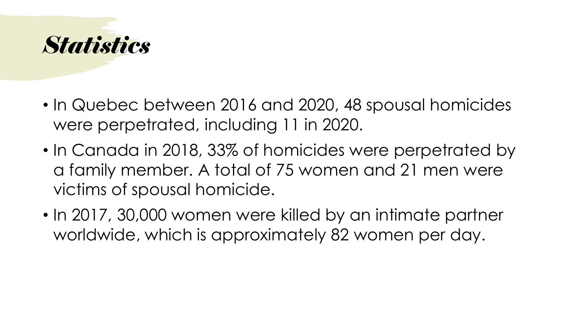

- In Quebec between 2016 and 2020, 48 spousal homicides were perpetrated, including 11 in 2020.
- In Canada in 2018, 33% of homicides were perpetrated by a family member. A total of 75 women and 21 men were victims of spousal homicide.
- In 2017, 30,000 women were killed by an intimate partner worldwide, which is approximately 82 women per day.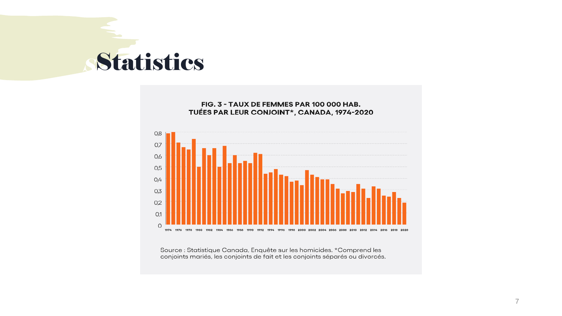### *Statistiques* Statistics

#### FIG. 3 - TAUX DE FEMMES PAR 100 000 HAB. TUÉES PAR LEUR CONJOINT\*, CANADA, 1974-2020



Source : Statistique Canada, Enquête sur les homicides. \*Comprend les conjoints mariés, les conjoints de fait et les conjoints séparés ou divorcés.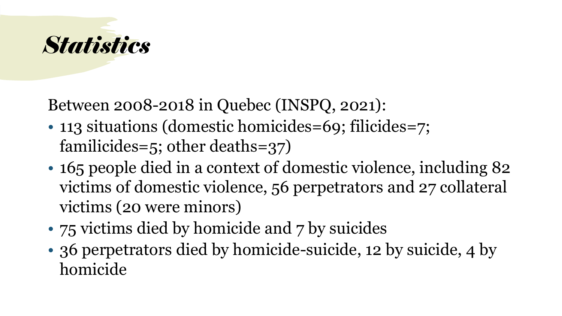

Between 2008-2018 in Quebec (INSPQ, 2021):

- 113 situations (domestic homicides=69; filicides=7; familicides=5; other deaths=37)
- 165 people died in a context of domestic violence, including 82 victims of domestic violence, 56 perpetrators and 27 collateral victims (20 were minors)
- 75 victims died by homicide and 7 by suicides
- 36 perpetrators died by homicide-suicide, 12 by suicide, 4 by homicide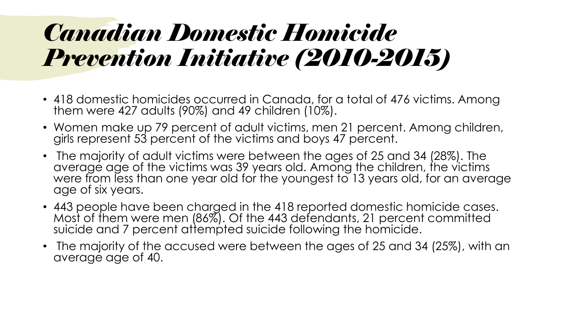### *Canadian Domestic Homicide Prevention Initiative (2010-2015)*

- 418 domestic homicides occurred in Canada, for a total of 476 victims. Among them were 427 adults (90%) and 49 children (10%).
- Women make up 79 percent of adult victims, men 21 percent. Among children, girls represent 53 percent of the victims and boys 47 percent.
- The majority of adult victims were between the ages of 25 and 34 (28%). The average age of the victims was 39 years old. Among the children, the victims were from less than one year old for the youngest to 13 years old, for an average age of six years.
- 443 people have been charged in the 418 reported domestic homicide cases. Most of them were men (86%). Of the 443 defendants, 21 percent committed suicide and 7 percent attempted suicide following the homicide.
- The majority of the accused were between the ages of 25 and 34 (25%), with an average age of 40.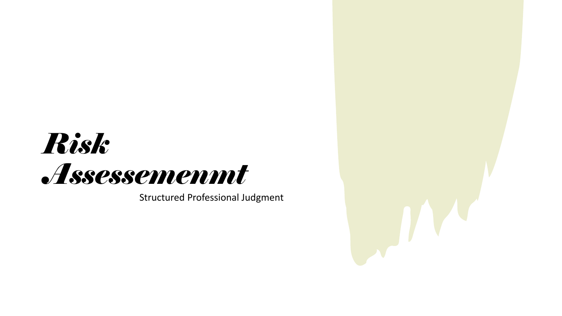# *Risk Assessemenmt*

Structured Professional Judgment

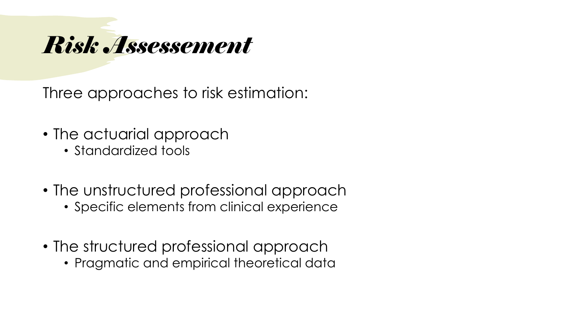### *Risk Assessement*

Three approaches to risk estimation:

- The actuarial approach
	- Standardized tools
- The unstructured professional approach
	- Specific elements from clinical experience
- The structured professional approach
	- Pragmatic and empirical theoretical data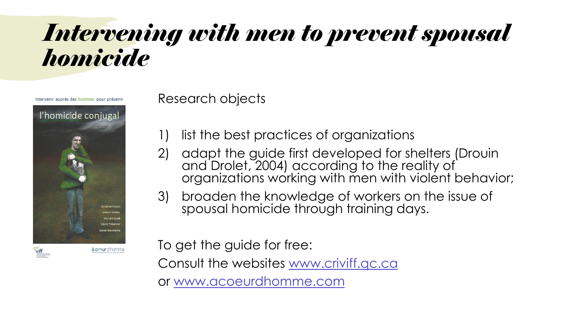### *Intervening with men to prevent spousal homicide*

Intervenir auprès des hommes pour prévenir



Research objects

- 1) list the best practices of organizations
- 2) adapt the guide first developed for shelters (Drouin and Drolet, 2004) according to the reality of organizations working with men with violent behavior;
- 3) broaden the knowledge of workers on the issue of spousal homicide through training days.

To get the guide for free: Consult the websites [www.criviff.qc.ca](http://www.criviff.qc.ca/) or [www.acoeurdhomme.com](http://www.acoeurdhomme.com/)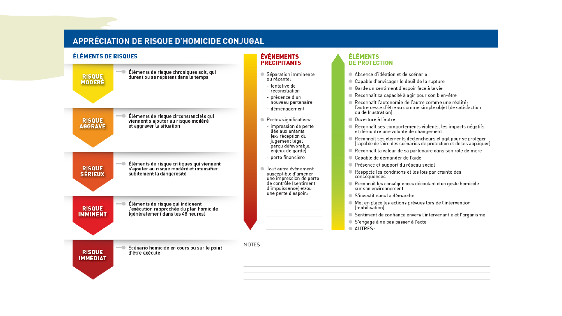#### **APPRÉCIATION DE RISQUE D'HOMICIDE CONJUGAL**

#### **ÉLÉMENTS DE RISQUES ÉVÉNEMENTS ÉLÉMENTS PRÉCIPITANTS DE PROTECTION** - Éléments de risque chroniques soit, qui Séparation imminente Absence d'idéation et de scénario **RISQUE** durent ou se répètent dans le temps ou récente: Capable d'envisager le deuil de la rupture **MODÉRÉ** - tentative de ● Garde un sentiment d'espoir face à la vie réconciliation Reconnaît sa capacité à agir pour son bien-être - présence d'un nouveau partenaire Reconnaît l'autonomie de l'autre comme une réalité: l'autre cesse d'être vu comme simple objet (de satisfaction - déménagement ou de frustration) Éléments de risque circonstanciels qui<br>viennent s'ajouter au risque modéré Ouverture à l'autre Pertes significatives: **RISQUE AGGRAVÉ** et aggraver la situation - impression de perte Reconnaît ses comportements violents, les impacts négatifs liée aux enfants et démontre une volonté de changement lex: réception du Reconnaît ses éléments déclencheurs et agit pour se protéger jugement légal (capable de faire des scénarios de protection et de les appliquer) perçu défavorable, enjeux de garde) Reconnaît la valeur de sa partenaire dans son rôle de mère - perte financière Capable de demander de l'aide Éléments de risque critiques qui viennent ● Présence et support du réseau social **RISQUE** s'aiouter au risque modéré et intensifier ● Tout autre événement Respecte les conditions et les lois par crainte des **SÉRIEUX** subitement la dangerosité susceptible d'amener conséquences une impression de perte<br>de contrôle (sentiment Reconnaît les conséquences découlant d'un geste homicide d'impuissance) et/ou sur son environnement une perte d'espoir.: S'investit dans la démarche A Met en place les actions prévues lors de l'intervention Éléments de risque qui indiquent **RISQUE** l'exécution rapprochée du plan homicide (mobilisation) (généralement dans les 48 heures) **IMMINENT** ● Sentiment de confiance envers l'intervenant e et l'organisme S'engage à ne pas passer à l'acte AUTRES: **NOTES** Scénario homicide en cours ou sur le point **RISQUE** d'être exécuté **IMMÉDIAT**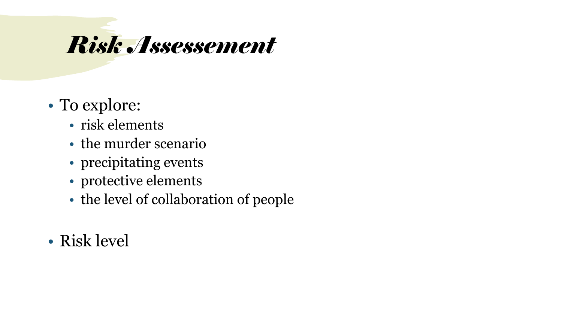# *Risk Assessement*

- To explore:
	- risk elements
	- the murder scenario
	- precipitating events
	- protective elements
	- the level of collaboration of people
- Risk level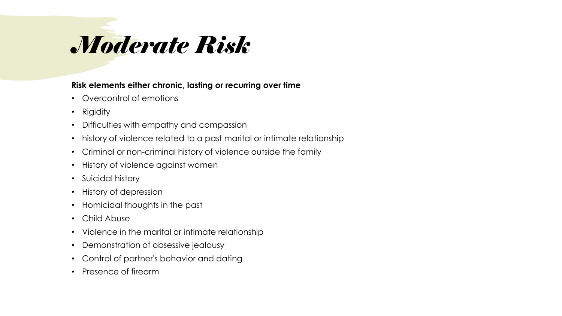# *Moderate Risk*

### **Risk elements either chronic, lasting or recurring over time**

- Overcontrol of emotions
- Rigidity
- Difficulties with empathy and compassion
- history of violence related to a past marital or intimate relationship
- Criminal or non-criminal history of violence outside the family
- History of violence against women
- Suicidal history
- History of depression
- Homicidal thoughts in the past
- Child Abuse
- Violence in the marital or intimate relationship
- Demonstration of obsessive jealousy
- Control of partner's behavior and dating
- Presence of firearm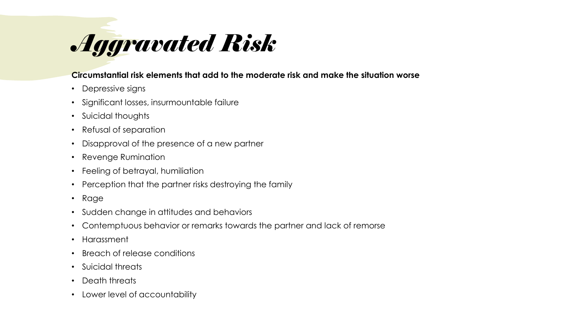# *Aggravated Risk*

#### **Circumstantial risk elements that add to the moderate risk and make the situation worse**

- Depressive signs
- Significant losses, insurmountable failure
- Suicidal thoughts
- Refusal of separation
- Disapproval of the presence of a new partner
- Revenge Rumination
- Feeling of betrayal, humiliation
- Perception that the partner risks destroying the family
- Rage
- Sudden change in attitudes and behaviors
- Contemptuous behavior or remarks towards the partner and lack of remorse
- Harassment
- Breach of release conditions
- Suicidal threats
- Death threats
- Lower level of accountability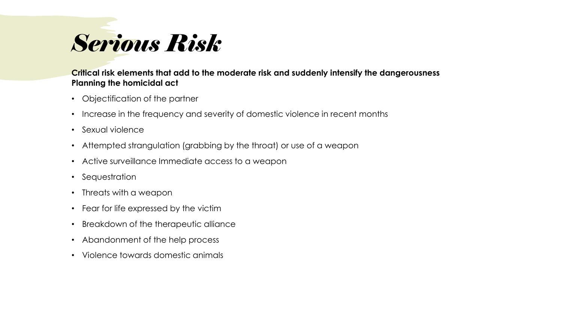# *Serious Risk*

#### **Critical risk elements that add to the moderate risk and suddenly intensify the dangerousness Planning the homicidal act**

- Objectification of the partner
- Increase in the frequency and severity of domestic violence in recent months
- Sexual violence
- Attempted strangulation (grabbing by the throat) or use of a weapon
- Active surveillance Immediate access to a weapon
- Sequestration
- Threats with a weapon
- Fear for life expressed by the victim
- Breakdown of the therapeutic alliance
- Abandonment of the help process
- Violence towards domestic animals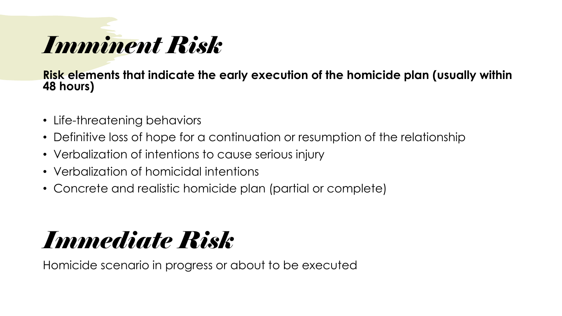# *Imminent Risk*

**Risk elements that indicate the early execution of the homicide plan (usually within 48 hours)**

- Life-threatening behaviors
- Definitive loss of hope for a continuation or resumption of the relationship
- Verbalization of intentions to cause serious injury
- Verbalization of homicidal intentions
- Concrete and realistic homicide plan (partial or complete)

### *Immediate Risk*

Homicide scenario in progress or about to be executed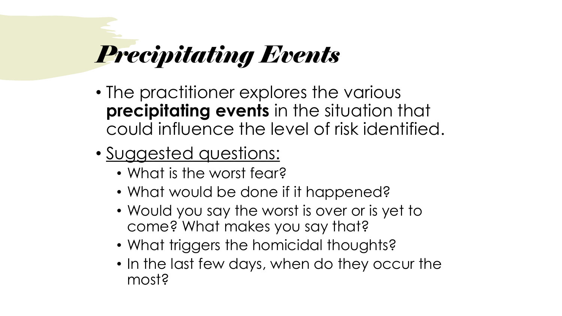# *Precipitating Events*

- The practitioner explores the various **precipitating events** in the situation that could influence the level of risk identified.
- Suggested questions:
	- What is the worst fear?
	- What would be done if it happened?
	- Would you say the worst is over or is yet to come? What makes you say that?
	- What triggers the homicidal thoughts?
	- In the last few days, when do they occur the most?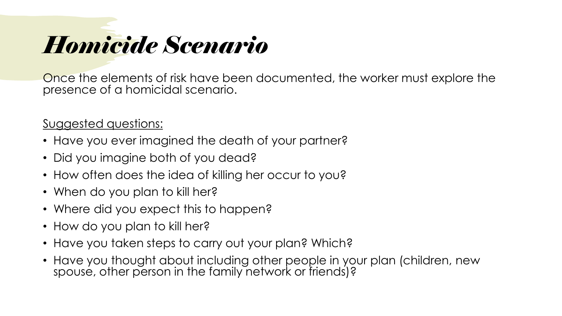# *Homicide Scenario*

Once the elements of risk have been documented, the worker must explore the presence of a homicidal scenario.

Suggested questions:

- Have you ever imagined the death of your partner?
- Did you imagine both of you dead?
- How often does the idea of killing her occur to you?
- When do you plan to kill her?
- Where did you expect this to happen?
- How do you plan to kill her?
- Have you taken steps to carry out your plan? Which?
- Have you thought about including other people in your plan (children, new spouse, other person in the family network or friends)?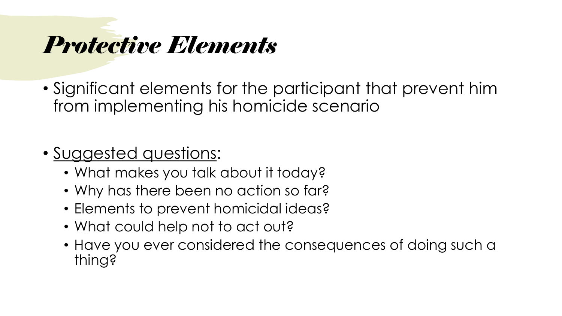### *Protective Elements*

• Significant elements for the participant that prevent him from implementing his homicide scenario

### • Suggested questions:

- What makes you talk about it today?
- Why has there been no action so far?
- Elements to prevent homicidal ideas?
- What could help not to act out?
- Have you ever considered the consequences of doing such a thing?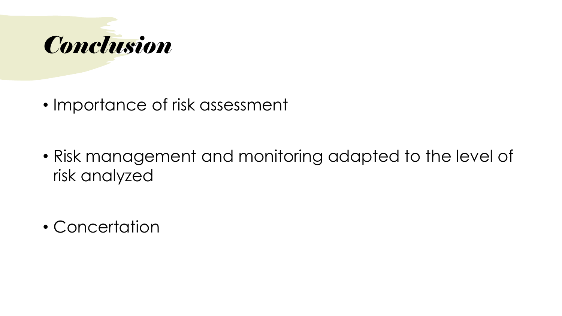

• Importance of risk assessment

• Risk management and monitoring adapted to the level of risk analyzed

• Concertation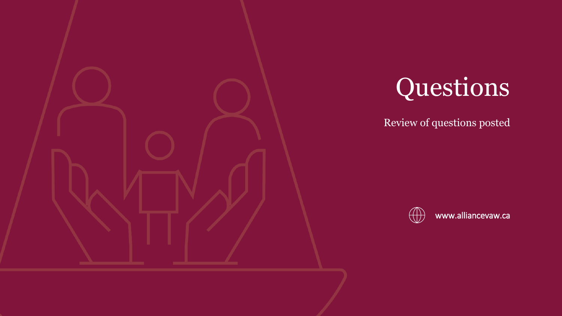

# Questions

Review of questions posted



www.alliancevaw.ca